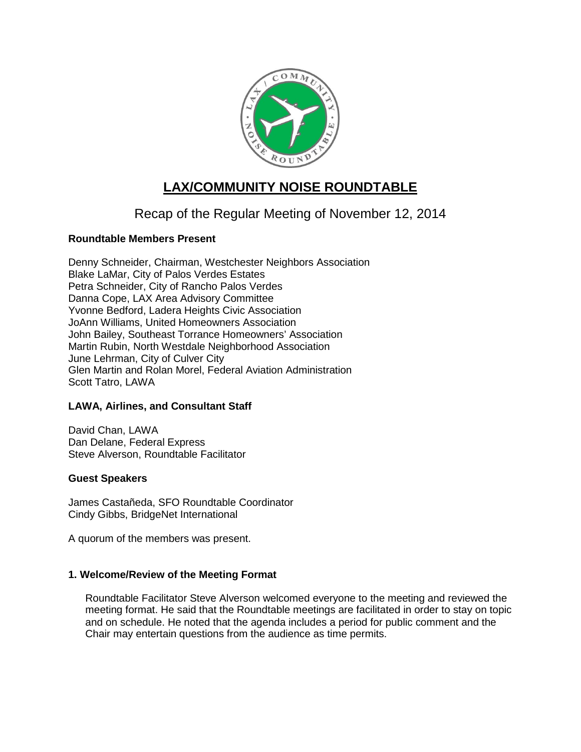

# **LAX/COMMUNITY NOISE ROUNDTABLE**

## Recap of the Regular Meeting of November 12, 2014

## **Roundtable Members Present**

Denny Schneider, Chairman, Westchester Neighbors Association Blake LaMar, City of Palos Verdes Estates Petra Schneider, City of Rancho Palos Verdes Danna Cope, LAX Area Advisory Committee Yvonne Bedford, Ladera Heights Civic Association JoAnn Williams, United Homeowners Association John Bailey, Southeast Torrance Homeowners' Association Martin Rubin, North Westdale Neighborhood Association June Lehrman, City of Culver City Glen Martin and Rolan Morel, Federal Aviation Administration Scott Tatro, LAWA

## **LAWA, Airlines, and Consultant Staff**

David Chan, LAWA Dan Delane, Federal Express Steve Alverson, Roundtable Facilitator

## **Guest Speakers**

James Castañeda, SFO Roundtable Coordinator Cindy Gibbs, BridgeNet International

A quorum of the members was present.

## **1. Welcome/Review of the Meeting Format**

Roundtable Facilitator Steve Alverson welcomed everyone to the meeting and reviewed the meeting format. He said that the Roundtable meetings are facilitated in order to stay on topic and on schedule. He noted that the agenda includes a period for public comment and the Chair may entertain questions from the audience as time permits.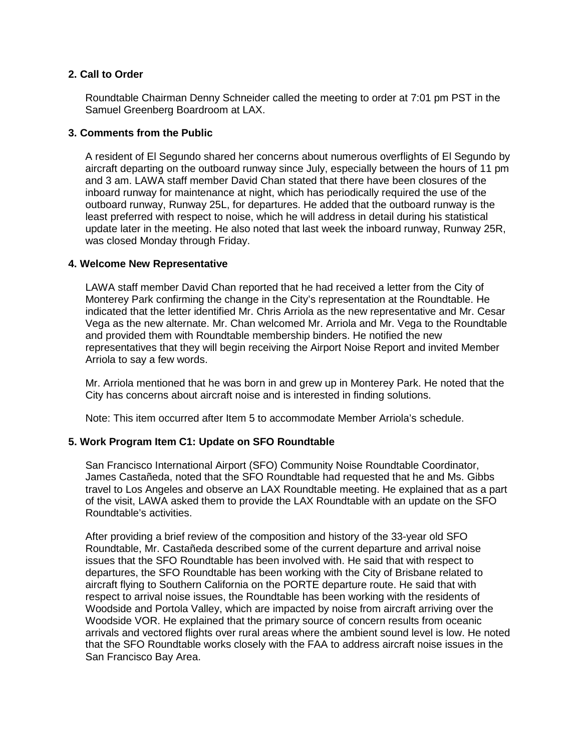## **2. Call to Order**

Roundtable Chairman Denny Schneider called the meeting to order at 7:01 pm PST in the Samuel Greenberg Boardroom at LAX.

#### **3. Comments from the Public**

A resident of El Segundo shared her concerns about numerous overflights of El Segundo by aircraft departing on the outboard runway since July, especially between the hours of 11 pm and 3 am. LAWA staff member David Chan stated that there have been closures of the inboard runway for maintenance at night, which has periodically required the use of the outboard runway, Runway 25L, for departures. He added that the outboard runway is the least preferred with respect to noise, which he will address in detail during his statistical update later in the meeting. He also noted that last week the inboard runway, Runway 25R, was closed Monday through Friday.

#### **4. Welcome New Representative**

LAWA staff member David Chan reported that he had received a letter from the City of Monterey Park confirming the change in the City's representation at the Roundtable. He indicated that the letter identified Mr. Chris Arriola as the new representative and Mr. Cesar Vega as the new alternate. Mr. Chan welcomed Mr. Arriola and Mr. Vega to the Roundtable and provided them with Roundtable membership binders. He notified the new representatives that they will begin receiving the Airport Noise Report and invited Member Arriola to say a few words.

Mr. Arriola mentioned that he was born in and grew up in Monterey Park. He noted that the City has concerns about aircraft noise and is interested in finding solutions.

Note: This item occurred after Item 5 to accommodate Member Arriola's schedule.

## **5. Work Program Item C1: Update on SFO Roundtable**

San Francisco International Airport (SFO) Community Noise Roundtable Coordinator, James Castañeda, noted that the SFO Roundtable had requested that he and Ms. Gibbs travel to Los Angeles and observe an LAX Roundtable meeting. He explained that as a part of the visit, LAWA asked them to provide the LAX Roundtable with an update on the SFO Roundtable's activities.

After providing a brief review of the composition and history of the 33-year old SFO Roundtable, Mr. Castañeda described some of the current departure and arrival noise issues that the SFO Roundtable has been involved with. He said that with respect to departures, the SFO Roundtable has been working with the City of Brisbane related to aircraft flying to Southern California on the PORTE departure route. He said that with respect to arrival noise issues, the Roundtable has been working with the residents of Woodside and Portola Valley, which are impacted by noise from aircraft arriving over the Woodside VOR. He explained that the primary source of concern results from oceanic arrivals and vectored flights over rural areas where the ambient sound level is low. He noted that the SFO Roundtable works closely with the FAA to address aircraft noise issues in the San Francisco Bay Area.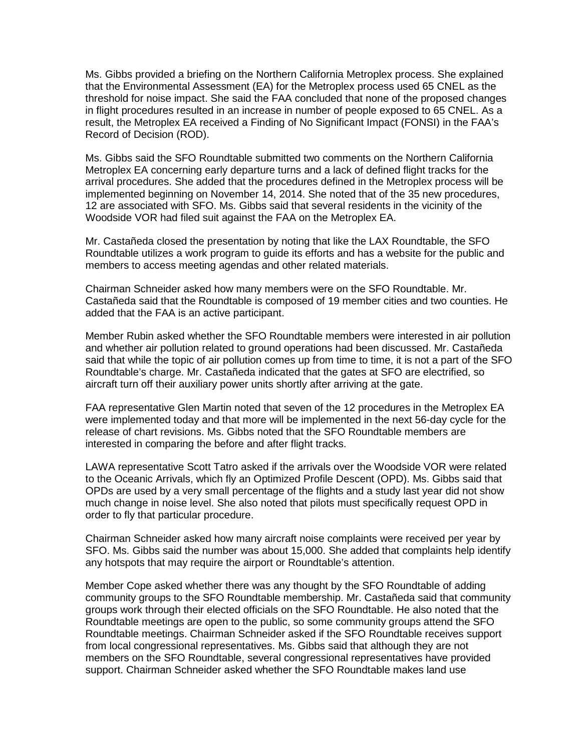Ms. Gibbs provided a briefing on the Northern California Metroplex process. She explained that the Environmental Assessment (EA) for the Metroplex process used 65 CNEL as the threshold for noise impact. She said the FAA concluded that none of the proposed changes in flight procedures resulted in an increase in number of people exposed to 65 CNEL. As a result, the Metroplex EA received a Finding of No Significant Impact (FONSI) in the FAA's Record of Decision (ROD).

Ms. Gibbs said the SFO Roundtable submitted two comments on the Northern California Metroplex EA concerning early departure turns and a lack of defined flight tracks for the arrival procedures. She added that the procedures defined in the Metroplex process will be implemented beginning on November 14, 2014. She noted that of the 35 new procedures, 12 are associated with SFO. Ms. Gibbs said that several residents in the vicinity of the Woodside VOR had filed suit against the FAA on the Metroplex EA.

Mr. Castañeda closed the presentation by noting that like the LAX Roundtable, the SFO Roundtable utilizes a work program to guide its efforts and has a website for the public and members to access meeting agendas and other related materials.

Chairman Schneider asked how many members were on the SFO Roundtable. Mr. Castañeda said that the Roundtable is composed of 19 member cities and two counties. He added that the FAA is an active participant.

Member Rubin asked whether the SFO Roundtable members were interested in air pollution and whether air pollution related to ground operations had been discussed. Mr. Castañeda said that while the topic of air pollution comes up from time to time, it is not a part of the SFO Roundtable's charge. Mr. Castañeda indicated that the gates at SFO are electrified, so aircraft turn off their auxiliary power units shortly after arriving at the gate.

FAA representative Glen Martin noted that seven of the 12 procedures in the Metroplex EA were implemented today and that more will be implemented in the next 56-day cycle for the release of chart revisions. Ms. Gibbs noted that the SFO Roundtable members are interested in comparing the before and after flight tracks.

LAWA representative Scott Tatro asked if the arrivals over the Woodside VOR were related to the Oceanic Arrivals, which fly an Optimized Profile Descent (OPD). Ms. Gibbs said that OPDs are used by a very small percentage of the flights and a study last year did not show much change in noise level. She also noted that pilots must specifically request OPD in order to fly that particular procedure.

Chairman Schneider asked how many aircraft noise complaints were received per year by SFO. Ms. Gibbs said the number was about 15,000. She added that complaints help identify any hotspots that may require the airport or Roundtable's attention.

Member Cope asked whether there was any thought by the SFO Roundtable of adding community groups to the SFO Roundtable membership. Mr. Castañeda said that community groups work through their elected officials on the SFO Roundtable. He also noted that the Roundtable meetings are open to the public, so some community groups attend the SFO Roundtable meetings. Chairman Schneider asked if the SFO Roundtable receives support from local congressional representatives. Ms. Gibbs said that although they are not members on the SFO Roundtable, several congressional representatives have provided support. Chairman Schneider asked whether the SFO Roundtable makes land use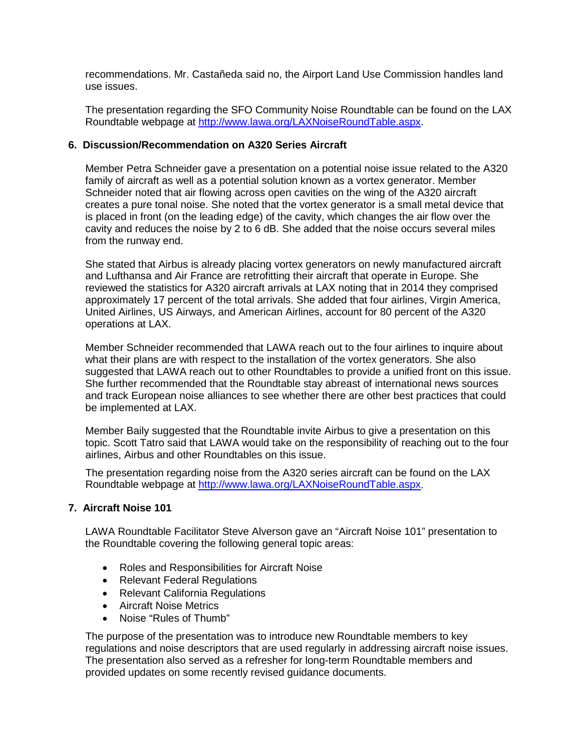recommendations. Mr. Castañeda said no, the Airport Land Use Commission handles land use issues.

The presentation regarding the SFO Community Noise Roundtable can be found on the LAX Roundtable webpage at [http://www.lawa.org/LAXNoiseRoundTable.aspx.](http://www.lawa.org/LAXNoiseRoundTable.aspx)

## **6. Discussion/Recommendation on A320 Series Aircraft**

Member Petra Schneider gave a presentation on a potential noise issue related to the A320 family of aircraft as well as a potential solution known as a vortex generator. Member Schneider noted that air flowing across open cavities on the wing of the A320 aircraft creates a pure tonal noise. She noted that the vortex generator is a small metal device that is placed in front (on the leading edge) of the cavity, which changes the air flow over the cavity and reduces the noise by 2 to 6 dB. She added that the noise occurs several miles from the runway end.

She stated that Airbus is already placing vortex generators on newly manufactured aircraft and Lufthansa and Air France are retrofitting their aircraft that operate in Europe. She reviewed the statistics for A320 aircraft arrivals at LAX noting that in 2014 they comprised approximately 17 percent of the total arrivals. She added that four airlines, Virgin America, United Airlines, US Airways, and American Airlines, account for 80 percent of the A320 operations at LAX.

Member Schneider recommended that LAWA reach out to the four airlines to inquire about what their plans are with respect to the installation of the vortex generators. She also suggested that LAWA reach out to other Roundtables to provide a unified front on this issue. She further recommended that the Roundtable stay abreast of international news sources and track European noise alliances to see whether there are other best practices that could be implemented at LAX.

Member Baily suggested that the Roundtable invite Airbus to give a presentation on this topic. Scott Tatro said that LAWA would take on the responsibility of reaching out to the four airlines, Airbus and other Roundtables on this issue.

The presentation regarding noise from the A320 series aircraft can be found on the LAX Roundtable webpage at [http://www.lawa.org/LAXNoiseRoundTable.aspx.](http://www.lawa.org/LAXNoiseRoundTable.aspx)

#### **7. Aircraft Noise 101**

LAWA Roundtable Facilitator Steve Alverson gave an "Aircraft Noise 101" presentation to the Roundtable covering the following general topic areas:

- Roles and Responsibilities for Aircraft Noise
- Relevant Federal Regulations
- Relevant California Regulations
- Aircraft Noise Metrics
- Noise "Rules of Thumb"

The purpose of the presentation was to introduce new Roundtable members to key regulations and noise descriptors that are used regularly in addressing aircraft noise issues. The presentation also served as a refresher for long-term Roundtable members and provided updates on some recently revised guidance documents.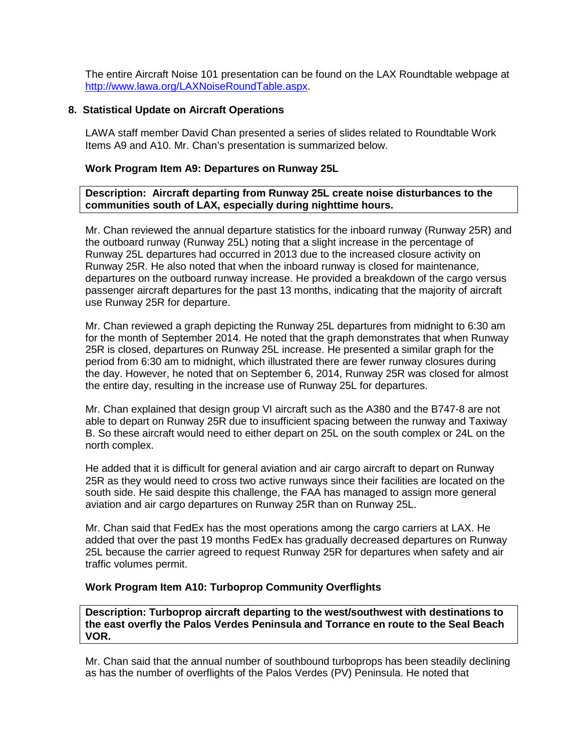The entire Aircraft Noise 101 presentation can be found on the LAX Roundtable webpage at [http://www.lawa.org/LAXNoiseRoundTable.aspx.](http://www.lawa.org/LAXNoiseRoundTable.aspx)

#### **8. Statistical Update on Aircraft Operations**

LAWA staff member David Chan presented a series of slides related to Roundtable Work Items A9 and A10. Mr. Chan's presentation is summarized below.

#### **Work Program Item A9: Departures on Runway 25L**

#### **Description: Aircraft departing from Runway 25L create noise disturbances to the communities south of LAX, especially during nighttime hours.**

Mr. Chan reviewed the annual departure statistics for the inboard runway (Runway 25R) and the outboard runway (Runway 25L) noting that a slight increase in the percentage of Runway 25L departures had occurred in 2013 due to the increased closure activity on Runway 25R. He also noted that when the inboard runway is closed for maintenance, departures on the outboard runway increase. He provided a breakdown of the cargo versus passenger aircraft departures for the past 13 months, indicating that the majority of aircraft use Runway 25R for departure.

Mr. Chan reviewed a graph depicting the Runway 25L departures from midnight to 6:30 am for the month of September 2014. He noted that the graph demonstrates that when Runway 25R is closed, departures on Runway 25L increase. He presented a similar graph for the period from 6:30 am to midnight, which illustrated there are fewer runway closures during the day. However, he noted that on September 6, 2014, Runway 25R was closed for almost the entire day, resulting in the increase use of Runway 25L for departures.

Mr. Chan explained that design group VI aircraft such as the A380 and the B747-8 are not able to depart on Runway 25R due to insufficient spacing between the runway and Taxiway B. So these aircraft would need to either depart on 25L on the south complex or 24L on the north complex.

He added that it is difficult for general aviation and air cargo aircraft to depart on Runway 25R as they would need to cross two active runways since their facilities are located on the south side. He said despite this challenge, the FAA has managed to assign more general aviation and air cargo departures on Runway 25R than on Runway 25L.

Mr. Chan said that FedEx has the most operations among the cargo carriers at LAX. He added that over the past 19 months FedEx has gradually decreased departures on Runway 25L because the carrier agreed to request Runway 25R for departures when safety and air traffic volumes permit.

#### **Work Program Item A10: Turboprop Community Overflights**

**Description: Turboprop aircraft departing to the west/southwest with destinations to the east overfly the Palos Verdes Peninsula and Torrance en route to the Seal Beach VOR.**

Mr. Chan said that the annual number of southbound turboprops has been steadily declining as has the number of overflights of the Palos Verdes (PV) Peninsula. He noted that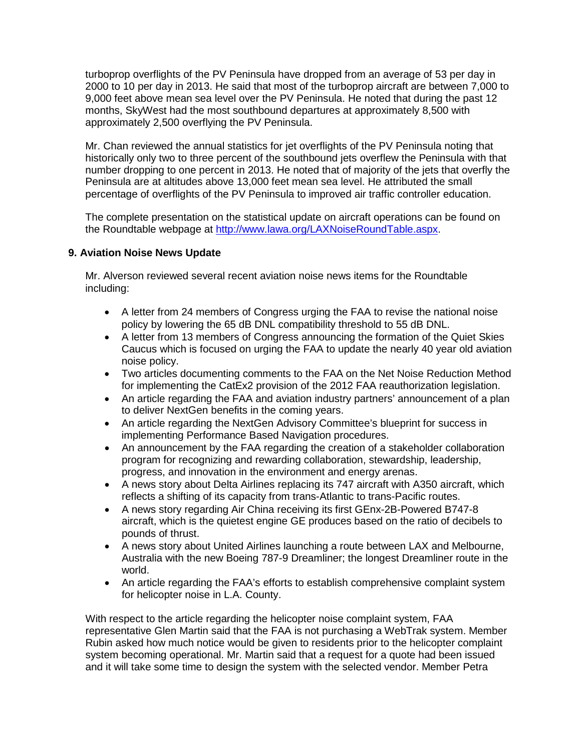turboprop overflights of the PV Peninsula have dropped from an average of 53 per day in 2000 to 10 per day in 2013. He said that most of the turboprop aircraft are between 7,000 to 9,000 feet above mean sea level over the PV Peninsula. He noted that during the past 12 months, SkyWest had the most southbound departures at approximately 8,500 with approximately 2,500 overflying the PV Peninsula.

Mr. Chan reviewed the annual statistics for jet overflights of the PV Peninsula noting that historically only two to three percent of the southbound jets overflew the Peninsula with that number dropping to one percent in 2013. He noted that of majority of the jets that overfly the Peninsula are at altitudes above 13,000 feet mean sea level. He attributed the small percentage of overflights of the PV Peninsula to improved air traffic controller education.

The complete presentation on the statistical update on aircraft operations can be found on the Roundtable webpage at [http://www.lawa.org/LAXNoiseRoundTable.aspx.](http://www.lawa.org/LAXNoiseRoundTable.aspx)

## **9. Aviation Noise News Update**

Mr. Alverson reviewed several recent aviation noise news items for the Roundtable including:

- A letter from 24 members of Congress urging the FAA to revise the national noise policy by lowering the 65 dB DNL compatibility threshold to 55 dB DNL.
- A letter from 13 members of Congress announcing the formation of the Quiet Skies Caucus which is focused on urging the FAA to update the nearly 40 year old aviation noise policy.
- Two articles documenting comments to the FAA on the Net Noise Reduction Method for implementing the CatEx2 provision of the 2012 FAA reauthorization legislation.
- An article regarding the FAA and aviation industry partners' announcement of a plan to deliver NextGen benefits in the coming years.
- An article regarding the NextGen Advisory Committee's blueprint for success in implementing Performance Based Navigation procedures.
- An announcement by the FAA regarding the creation of a stakeholder collaboration program for recognizing and rewarding collaboration, stewardship, leadership, progress, and innovation in the environment and energy arenas.
- A news story about Delta Airlines replacing its 747 aircraft with A350 aircraft, which reflects a shifting of its capacity from trans-Atlantic to trans-Pacific routes.
- A news story regarding Air China receiving its first GEnx-2B-Powered B747-8 aircraft, which is the quietest engine GE produces based on the ratio of decibels to pounds of thrust.
- A news story about United Airlines launching a route between LAX and Melbourne, Australia with the new Boeing 787-9 Dreamliner; the longest Dreamliner route in the world.
- An article regarding the FAA's efforts to establish comprehensive complaint system for helicopter noise in L.A. County.

With respect to the article regarding the helicopter noise complaint system, FAA representative Glen Martin said that the FAA is not purchasing a WebTrak system. Member Rubin asked how much notice would be given to residents prior to the helicopter complaint system becoming operational. Mr. Martin said that a request for a quote had been issued and it will take some time to design the system with the selected vendor. Member Petra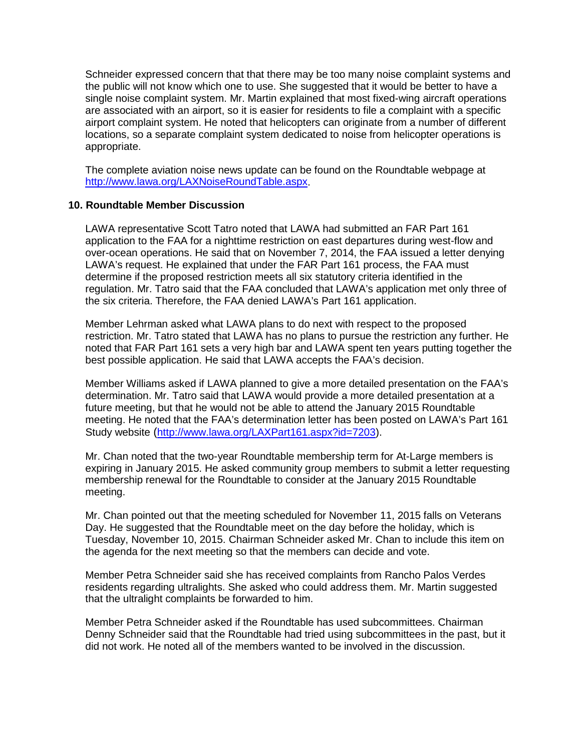Schneider expressed concern that that there may be too many noise complaint systems and the public will not know which one to use. She suggested that it would be better to have a single noise complaint system. Mr. Martin explained that most fixed-wing aircraft operations are associated with an airport, so it is easier for residents to file a complaint with a specific airport complaint system. He noted that helicopters can originate from a number of different locations, so a separate complaint system dedicated to noise from helicopter operations is appropriate.

The complete aviation noise news update can be found on the Roundtable webpage at [http://www.lawa.org/LAXNoiseRoundTable.aspx.](http://www.lawa.org/LAXNoiseRoundTable.aspx)

#### **10. Roundtable Member Discussion**

LAWA representative Scott Tatro noted that LAWA had submitted an FAR Part 161 application to the FAA for a nighttime restriction on east departures during west-flow and over-ocean operations. He said that on November 7, 2014, the FAA issued a letter denying LAWA's request. He explained that under the FAR Part 161 process, the FAA must determine if the proposed restriction meets all six statutory criteria identified in the regulation. Mr. Tatro said that the FAA concluded that LAWA's application met only three of the six criteria. Therefore, the FAA denied LAWA's Part 161 application.

Member Lehrman asked what LAWA plans to do next with respect to the proposed restriction. Mr. Tatro stated that LAWA has no plans to pursue the restriction any further. He noted that FAR Part 161 sets a very high bar and LAWA spent ten years putting together the best possible application. He said that LAWA accepts the FAA's decision.

Member Williams asked if LAWA planned to give a more detailed presentation on the FAA's determination. Mr. Tatro said that LAWA would provide a more detailed presentation at a future meeting, but that he would not be able to attend the January 2015 Roundtable meeting. He noted that the FAA's determination letter has been posted on LAWA's Part 161 Study website [\(http://www.lawa.org/LAXPart161.aspx?id=7203\)](http://www.lawa.org/LAXPart161.aspx?id=7203).

Mr. Chan noted that the two-year Roundtable membership term for At-Large members is expiring in January 2015. He asked community group members to submit a letter requesting membership renewal for the Roundtable to consider at the January 2015 Roundtable meeting.

Mr. Chan pointed out that the meeting scheduled for November 11, 2015 falls on Veterans Day. He suggested that the Roundtable meet on the day before the holiday, which is Tuesday, November 10, 2015. Chairman Schneider asked Mr. Chan to include this item on the agenda for the next meeting so that the members can decide and vote.

Member Petra Schneider said she has received complaints from Rancho Palos Verdes residents regarding ultralights. She asked who could address them. Mr. Martin suggested that the ultralight complaints be forwarded to him.

Member Petra Schneider asked if the Roundtable has used subcommittees. Chairman Denny Schneider said that the Roundtable had tried using subcommittees in the past, but it did not work. He noted all of the members wanted to be involved in the discussion.